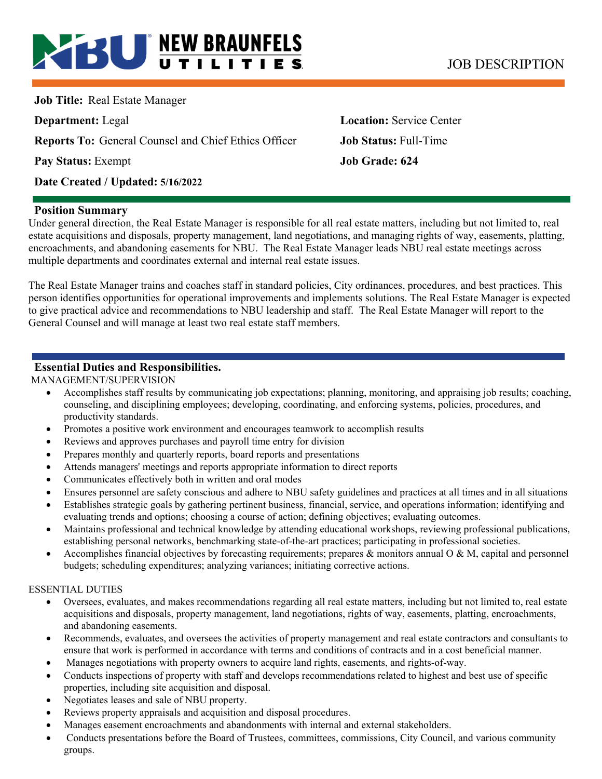# **BU NEW BRAUNFELS** JOB DESCRIPTION

**Job Title:** Real Estate Manager

**Reports To:** General Counsel and Chief Ethics Officer **Job Status:** Full-Time

**Pay Status:** Exempt **Job Grade: 624** 

**Date Created / Updated: 5/16/2022** 

**Department:** Legal **Location:** Service Center

## **Position Summary**

Under general direction, the Real Estate Manager is responsible for all real estate matters, including but not limited to, real estate acquisitions and disposals, property management, land negotiations, and managing rights of way, easements, platting, encroachments, and abandoning easements for NBU. The Real Estate Manager leads NBU real estate meetings across multiple departments and coordinates external and internal real estate issues.

The Real Estate Manager trains and coaches staff in standard policies, City ordinances, procedures, and best practices. This person identifies opportunities for operational improvements and implements solutions. The Real Estate Manager is expected to give practical advice and recommendations to NBU leadership and staff. The Real Estate Manager will report to the General Counsel and will manage at least two real estate staff members.

## **Essential Duties and Responsibilities.**

MANAGEMENT/SUPERVISION

- Accomplishes staff results by communicating job expectations; planning, monitoring, and appraising job results; coaching, counseling, and disciplining employees; developing, coordinating, and enforcing systems, policies, procedures, and productivity standards.
- Promotes a positive work environment and encourages teamwork to accomplish results
- Reviews and approves purchases and payroll time entry for division
- Prepares monthly and quarterly reports, board reports and presentations
- Attends managers' meetings and reports appropriate information to direct reports
- Communicates effectively both in written and oral modes
- Ensures personnel are safety conscious and adhere to NBU safety guidelines and practices at all times and in all situations
- Establishes strategic goals by gathering pertinent business, financial, service, and operations information; identifying and evaluating trends and options; choosing a course of action; defining objectives; evaluating outcomes.
- Maintains professional and technical knowledge by attending educational workshops, reviewing professional publications, establishing personal networks, benchmarking state-of-the-art practices; participating in professional societies.
- Accomplishes financial objectives by forecasting requirements; prepares & monitors annual  $\alpha \& M$ , capital and personnel budgets; scheduling expenditures; analyzing variances; initiating corrective actions.

#### ESSENTIAL DUTIES

- Oversees, evaluates, and makes recommendations regarding all real estate matters, including but not limited to, real estate acquisitions and disposals, property management, land negotiations, rights of way, easements, platting, encroachments, and abandoning easements.
- Recommends, evaluates, and oversees the activities of property management and real estate contractors and consultants to ensure that work is performed in accordance with terms and conditions of contracts and in a cost beneficial manner.
- Manages negotiations with property owners to acquire land rights, easements, and rights-of-way.
- Conducts inspections of property with staff and develops recommendations related to highest and best use of specific properties, including site acquisition and disposal.
- Negotiates leases and sale of NBU property.
- Reviews property appraisals and acquisition and disposal procedures.
- Manages easement encroachments and abandonments with internal and external stakeholders.
- Conducts presentations before the Board of Trustees, committees, commissions, City Council, and various community groups.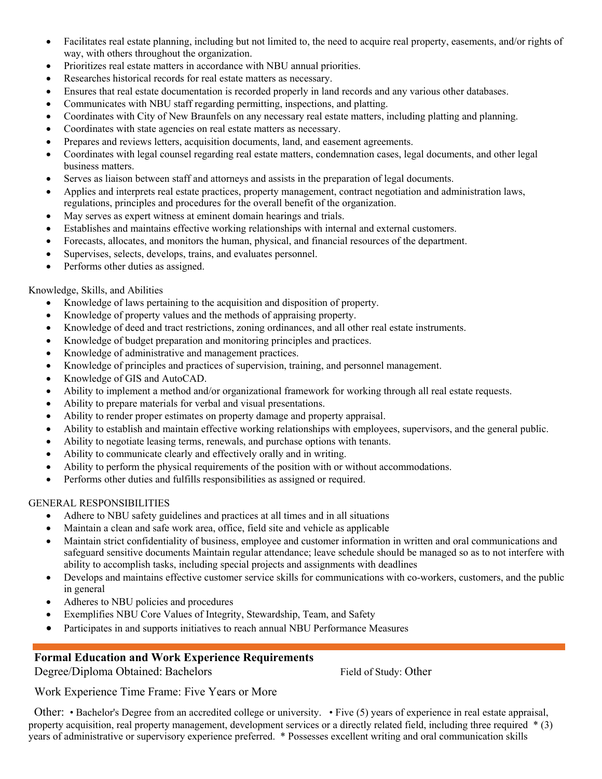- Facilitates real estate planning, including but not limited to, the need to acquire real property, easements, and/or rights of way, with others throughout the organization.
- Prioritizes real estate matters in accordance with NBU annual priorities.
- Researches historical records for real estate matters as necessary.
- Ensures that real estate documentation is recorded properly in land records and any various other databases.
- Communicates with NBU staff regarding permitting, inspections, and platting.
- Coordinates with City of New Braunfels on any necessary real estate matters, including platting and planning.
- Coordinates with state agencies on real estate matters as necessary.
- Prepares and reviews letters, acquisition documents, land, and easement agreements.
- Coordinates with legal counsel regarding real estate matters, condemnation cases, legal documents, and other legal business matters.
- Serves as liaison between staff and attorneys and assists in the preparation of legal documents.
- Applies and interprets real estate practices, property management, contract negotiation and administration laws, regulations, principles and procedures for the overall benefit of the organization.
- May serves as expert witness at eminent domain hearings and trials.
- Establishes and maintains effective working relationships with internal and external customers.
- Forecasts, allocates, and monitors the human, physical, and financial resources of the department.
- Supervises, selects, develops, trains, and evaluates personnel.
- Performs other duties as assigned.

### Knowledge, Skills, and Abilities

- Knowledge of laws pertaining to the acquisition and disposition of property.
- Knowledge of property values and the methods of appraising property.
- Knowledge of deed and tract restrictions, zoning ordinances, and all other real estate instruments.
- Knowledge of budget preparation and monitoring principles and practices.
- Knowledge of administrative and management practices.
- Knowledge of principles and practices of supervision, training, and personnel management.
- Knowledge of GIS and AutoCAD.
- Ability to implement a method and/or organizational framework for working through all real estate requests.
- Ability to prepare materials for verbal and visual presentations.
- Ability to render proper estimates on property damage and property appraisal.
- Ability to establish and maintain effective working relationships with employees, supervisors, and the general public.
- Ability to negotiate leasing terms, renewals, and purchase options with tenants.
- Ability to communicate clearly and effectively orally and in writing.
- Ability to perform the physical requirements of the position with or without accommodations.
- Performs other duties and fulfills responsibilities as assigned or required.

## GENERAL RESPONSIBILITIES

- Adhere to NBU safety guidelines and practices at all times and in all situations
- Maintain a clean and safe work area, office, field site and vehicle as applicable
- Maintain strict confidentiality of business, employee and customer information in written and oral communications and safeguard sensitive documents Maintain regular attendance; leave schedule should be managed so as to not interfere with ability to accomplish tasks, including special projects and assignments with deadlines
- Develops and maintains effective customer service skills for communications with co-workers, customers, and the public in general
- Adheres to NBU policies and procedures
- Exemplifies NBU Core Values of Integrity, Stewardship, Team, and Safety
- Participates in and supports initiatives to reach annual NBU Performance Measures

## **Formal Education and Work Experience Requirements**

Degree/Diploma Obtained: Bachelors Field of Study: Other

Work Experience Time Frame: Five Years or More

Other: • Bachelor's Degree from an accredited college or university. • Five (5) years of experience in real estate appraisal, property acquisition, real property management, development services or a directly related field, including three required \* (3) years of administrative or supervisory experience preferred. \* Possesses excellent writing and oral communication skills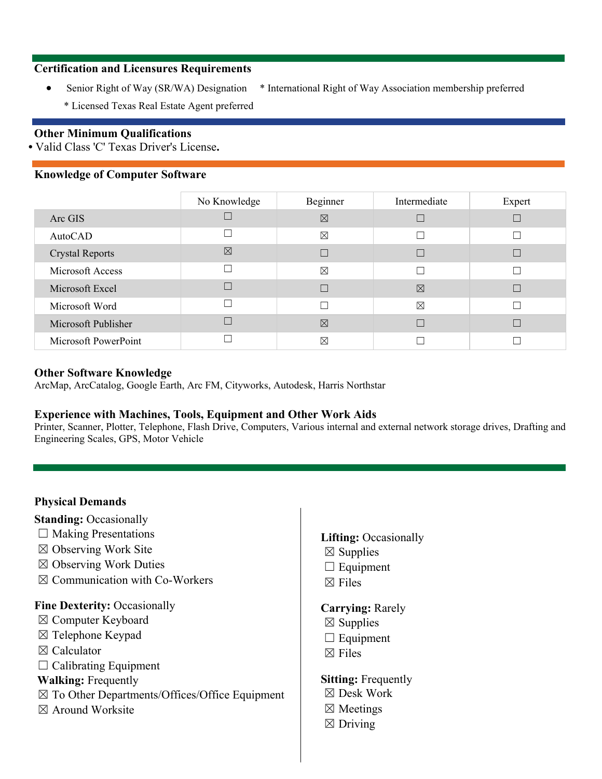## **Certification and Licensures Requirements**

- Senior Right of Way (SR/WA) Designation \* International Right of Way Association membership preferred
	-
	- \* Licensed Texas Real Estate Agent preferred

### **Other Minimum Qualifications**

**•** Valid Class 'C' Texas Driver's License**.** 

### **Knowledge of Computer Software**

|                        | No Knowledge | Beginner    | Intermediate | Expert |
|------------------------|--------------|-------------|--------------|--------|
| Arc GIS                |              | $\boxtimes$ |              |        |
| AutoCAD                |              | $\boxtimes$ |              |        |
| <b>Crystal Reports</b> | $\boxtimes$  |             |              |        |
| Microsoft Access       |              | $\boxtimes$ |              |        |
| Microsoft Excel        |              |             | $\boxtimes$  |        |
| Microsoft Word         |              |             | $\boxtimes$  |        |
| Microsoft Publisher    |              | $\boxtimes$ |              |        |
| Microsoft PowerPoint   |              | $\boxtimes$ |              |        |

#### **Other Software Knowledge**

ArcMap, ArcCatalog, Google Earth, Arc FM, Cityworks, Autodesk, Harris Northstar

#### **Experience with Machines, Tools, Equipment and Other Work Aids**

Printer, Scanner, Plotter, Telephone, Flash Drive, Computers, Various internal and external network storage drives, Drafting and Engineering Scales, GPS, Motor Vehicle

#### **Physical Demands**

**Standing: Occasionally** 

- $\Box$  Making Presentations
- $\boxtimes$  Observing Work Site
- ☒ Observing Work Duties
- ☒ Communication with Co-Workers

#### **Fine Dexterity: Occasionally**

- ☒ Computer Keyboard
- ☒ Telephone Keypad
- ☒ Calculator
- $\Box$  Calibrating Equipment

## **Walking:** Frequently

- ☒ To Other Departments/Offices/Office Equipment
- $\boxtimes$  Around Worksite

#### **Lifting:** Occasionally

- $\boxtimes$  Supplies
- $\Box$  Equipment
- ☒ Files

#### **Carrying:** Rarely

- $\boxtimes$  Supplies
- $\Box$  Equipment
- $\boxtimes$  Files

#### **Sitting:** Frequently

- ☒ Desk Work
- ☒ Meetings
- $\boxtimes$  Driving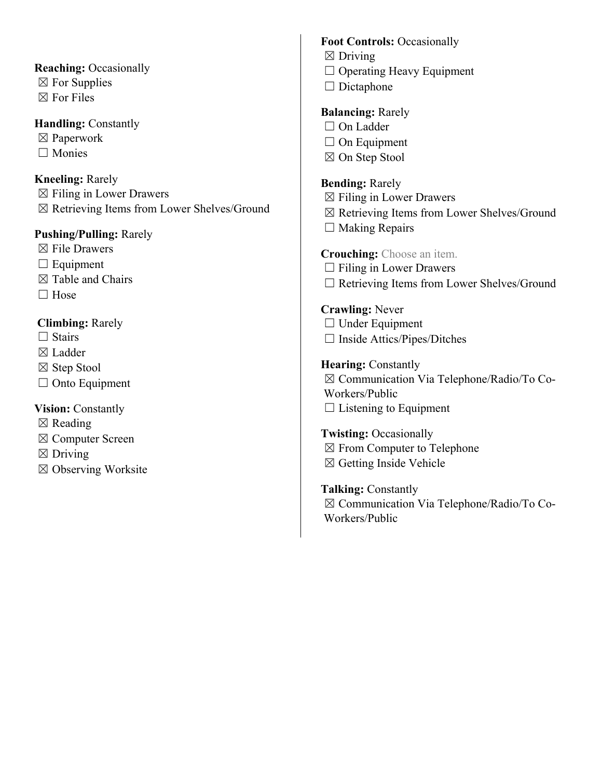# **Reaching:** Occasionally  $\boxtimes$  For Supplies

 $\boxtimes$  For Files

## **Handling: Constantly**

- ☒ Paperwork
- ☐ Monies

# **Kneeling:** Rarely

 $\boxtimes$  Filing in Lower Drawers ☒ Retrieving Items from Lower Shelves/Ground

## **Pushing/Pulling:** Rarely

- $\boxtimes$  File Drawers
- $\Box$  Equipment
- ☒ Table and Chairs
- $\Box$  Hose

# **Climbing:** Rarely

- $\Box$  Stairs
- ☒ Ladder
- ☒ Step Stool
- $\Box$  Onto Equipment

# **Vision:** Constantly

- $\boxtimes$  Reading
- ☒ Computer Screen
- $\boxtimes$  Driving
- ☒ Observing Worksite

## **Foot Controls:** Occasionally

- $\boxtimes$  Driving
- ☐ Operating Heavy Equipment
- $\Box$  Dictaphone

# **Balancing:** Rarely

- □ On Ladder
- □ On Equipment
- ☒ On Step Stool

## **Bending:** Rarely

- $\boxtimes$  Filing in Lower Drawers
- ☒ Retrieving Items from Lower Shelves/Ground
- $\Box$  Making Repairs

## **Crouching:** Choose an item.

- $\Box$  Filing in Lower Drawers
- ☐ Retrieving Items from Lower Shelves/Ground

# **Crawling:** Never

- □ Under Equipment
- ☐ Inside Attics/Pipes/Ditches

## **Hearing: Constantly**

☒ Communication Via Telephone/Radio/To Co-Workers/Public  $\Box$  Listening to Equipment

# **Twisting:** Occasionally ☒ From Computer to Telephone  $\boxtimes$  Getting Inside Vehicle

**Talking:** Constantly ☒ Communication Via Telephone/Radio/To Co-Workers/Public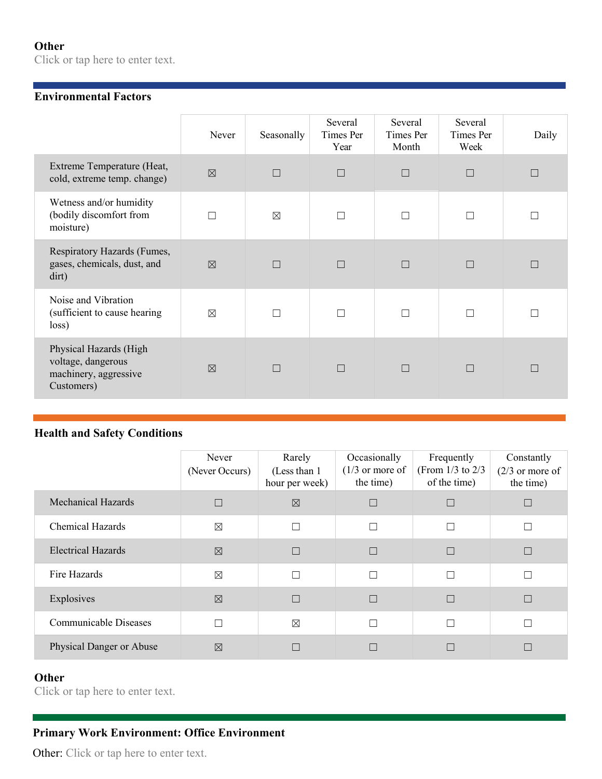# **Other**

Click or tap here to enter text.

## **Environmental Factors**

|                                                                                     | Never       | Seasonally  | Several<br>Times Per<br>Year | Several<br>Times Per<br>Month | Several<br>Times Per<br>Week | Daily |
|-------------------------------------------------------------------------------------|-------------|-------------|------------------------------|-------------------------------|------------------------------|-------|
| Extreme Temperature (Heat,<br>cold, extreme temp. change)                           | $\boxtimes$ | $\Box$      | $\Box$                       | $\Box$                        | $\Box$                       |       |
| Wetness and/or humidity<br>(bodily discomfort from<br>moisture)                     | П           | $\boxtimes$ | П                            |                               | П                            |       |
| Respiratory Hazards (Fumes,<br>gases, chemicals, dust, and<br>dirt)                 | $\boxtimes$ |             | $\Box$                       |                               | $\Box$                       |       |
| Noise and Vibration<br>(sufficient to cause hearing<br>loss)                        | $\boxtimes$ |             | $\Box$                       |                               | П                            |       |
| Physical Hazards (High<br>voltage, dangerous<br>machinery, aggressive<br>Customers) | $\nabla$    | П           | $\Box$                       | П                             | $\Box$                       | П     |

## **Health and Safety Conditions**

|                           | Never<br>(Never Occurs) | Rarely<br>(Less than 1)<br>hour per week) | Occasionally<br>$(1/3)$ or more of<br>the time) | Frequently<br>(From $1/3$ to $2/3$<br>of the time) | Constantly<br>$(2/3)$ or more of<br>the time) |
|---------------------------|-------------------------|-------------------------------------------|-------------------------------------------------|----------------------------------------------------|-----------------------------------------------|
| <b>Mechanical Hazards</b> |                         | $\boxtimes$                               |                                                 |                                                    |                                               |
| <b>Chemical Hazards</b>   | $\boxtimes$             | $\Box$                                    | П                                               | П                                                  |                                               |
| <b>Electrical Hazards</b> | $\boxtimes$             | $\Box$                                    | П                                               |                                                    |                                               |
| Fire Hazards              | $\boxtimes$             | $\Box$                                    | П                                               | П                                                  |                                               |
| Explosives                | $\boxtimes$             | $\Box$                                    | П                                               |                                                    |                                               |
| Communicable Diseases     |                         | $\boxtimes$                               | П                                               | П                                                  |                                               |
| Physical Danger or Abuse  | $\boxtimes$             | П                                         |                                                 |                                                    |                                               |

# **Other**

Click or tap here to enter text.

# **Primary Work Environment: Office Environment**

Other: Click or tap here to enter text.